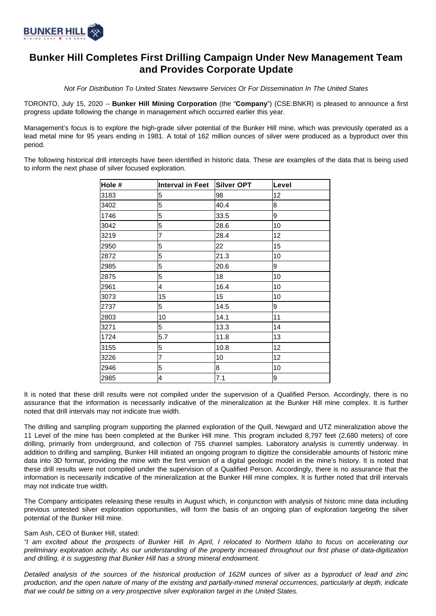

# **Bunker Hill Completes First Drilling Campaign Under New Management Team and Provides Corporate Update**

Not For Distribution To United States Newswire Services Or For Dissemination In The United States

TORONTO, July 15, 2020 -- **Bunker Hill Mining Corporation** (the "**Company**") (CSE:BNKR) is pleased to announce a first progress update following the change in management which occurred earlier this year.

Management's focus is to explore the high-grade silver potential of the Bunker Hill mine, which was previously operated as a lead metal mine for 95 years ending in 1981. A total of 162 million ounces of silver were produced as a byproduct over this period.

The following historical drill intercepts have been identified in historic data. These are examples of the data that is being used to inform the next phase of silver focused exploration.

| Hole # | Interval in Feet | Silver OPT | Level |
|--------|------------------|------------|-------|
| 3183   | 5                | 98         | 12    |
| 3402   | 5                | 40.4       | 8     |
| 1746   | 5                | 33.5       | 9     |
| 3042   | 5                | 28.6       | 10    |
| 3219   | 7                | 28.4       | 12    |
| 2950   | 5                | 22         | 15    |
| 2872   | 5                | 21.3       | 10    |
| 2985   | 5                | 20.6       | 9     |
| 2875   | 5                | 18         | 10    |
| 2961   | 4                | 16.4       | 10    |
| 3073   | 15               | 15         | 10    |
| 2737   | 5                | 14.5       | 9     |
| 2803   | 10               | 14.1       | 11    |
| 3271   | 5                | 13.3       | 14    |
| 1724   | 5.7              | 11.8       | 13    |
| 3155   | 5                | 10.8       | 12    |
| 3226   | 7                | 10         | 12    |
| 2946   | 5                | 8          | 10    |
| 2985   | 4                | 7.1        | 9     |

It is noted that these drill results were not compiled under the supervision of a Qualified Person. Accordingly, there is no assurance that the information is necessarily indicative of the mineralization at the Bunker Hill mine complex. It is further noted that drill intervals may not indicate true width.

The drilling and sampling program supporting the planned exploration of the Quill, Newgard and UTZ mineralization above the 11 Level of the mine has been completed at the Bunker Hill mine. This program included 8,797 feet (2,680 meters) of core drilling, primarily from underground, and collection of 755 channel samples. Laboratory analysis is currently underway. In addition to drilling and sampling, Bunker Hill initiated an ongoing program to digitize the considerable amounts of historic mine data into 3D format, providing the mine with the first version of a digital geologic model in the mine's history. It is noted that these drill results were not compiled under the supervision of a Qualified Person. Accordingly, there is no assurance that the information is necessarily indicative of the mineralization at the Bunker Hill mine complex. It is further noted that drill intervals may not indicate true width.

The Company anticipates releasing these results in August which, in conjunction with analysis of historic mine data including previous untested silver exploration opportunities, will form the basis of an ongoing plan of exploration targeting the silver potential of the Bunker Hill mine.

## Sam Ash, CEO of Bunker Hill, stated:

"I am excited about the prospects of Bunker Hill. In April, I relocated to Northern Idaho to focus on accelerating our preliminary exploration activity. As our understanding of the property increased throughout our first phase of data-digitization and drilling, it is suggesting that Bunker Hill has a strong mineral endowment.

Detailed analysis of the sources of the historical production of 162M ounces of silver as a byproduct of lead and zinc production, and the open nature of many of the existing and partially-mined mineral occurrences, particularly at depth, indicate that we could be sitting on a very prospective silver exploration target in the United States.